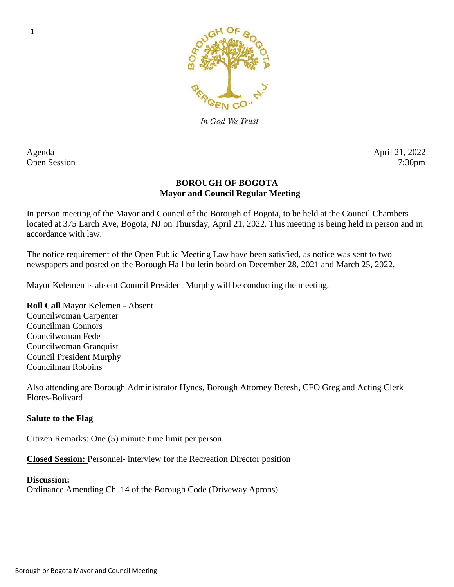

In God We Trust

Agenda April 21, 2022

# Open Session 7:30pm

# **BOROUGH OF BOGOTA Mayor and Council Regular Meeting**

In person meeting of the Mayor and Council of the Borough of Bogota, to be held at the Council Chambers located at 375 Larch Ave, Bogota, NJ on Thursday, April 21, 2022. This meeting is being held in person and in accordance with law.

The notice requirement of the Open Public Meeting Law have been satisfied, as notice was sent to two newspapers and posted on the Borough Hall bulletin board on December 28, 2021 and March 25, 2022.

Mayor Kelemen is absent Council President Murphy will be conducting the meeting.

**Roll Call** Mayor Kelemen - Absent Councilwoman Carpenter Councilman Connors Councilwoman Fede Councilwoman Granquist Council President Murphy Councilman Robbins

Also attending are Borough Administrator Hynes, Borough Attorney Betesh, CFO Greg and Acting Clerk Flores-Bolivard

# **Salute to the Flag**

Citizen Remarks: One (5) minute time limit per person.

**Closed Session:** Personnel- interview for the Recreation Director position

# **Discussion:**

Ordinance Amending Ch. 14 of the Borough Code (Driveway Aprons)